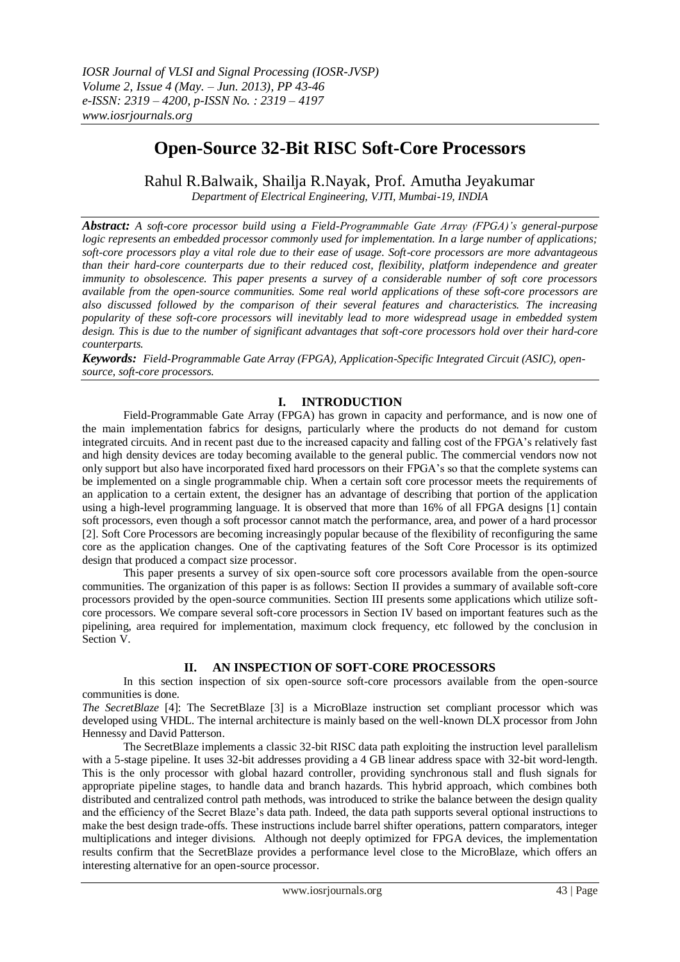# **Open-Source 32-Bit RISC Soft-Core Processors**

Rahul R.Balwaik, Shailja R.Nayak, Prof. Amutha Jeyakumar *Department of Electrical Engineering, VJTI, Mumbai-19, INDIA*

*Abstract: A soft-core processor build using a Field-Programmable Gate Array (FPGA)'s general-purpose logic represents an embedded processor commonly used for implementation. In a large number of applications; soft-core processors play a vital role due to their ease of usage. Soft-core processors are more advantageous than their hard-core counterparts due to their reduced cost, flexibility, platform independence and greater immunity to obsolescence. This paper presents a survey of a considerable number of soft core processors available from the open-source communities. Some real world applications of these soft-core processors are also discussed followed by the comparison of their several features and characteristics. The increasing popularity of these soft-core processors will inevitably lead to more widespread usage in embedded system design. This is due to the number of significant advantages that soft-core processors hold over their hard-core counterparts.*

*Keywords: Field-Programmable Gate Array (FPGA), Application-Specific Integrated Circuit (ASIC), opensource, soft-core processors.* 

# **I. INTRODUCTION**

Field-Programmable Gate Array (FPGA) has grown in capacity and performance, and is now one of the main implementation fabrics for designs, particularly where the products do not demand for custom integrated circuits. And in recent past due to the increased capacity and falling cost of the FPGA's relatively fast and high density devices are today becoming available to the general public. The commercial vendors now not only support but also have incorporated fixed hard processors on their FPGA's so that the complete systems can be implemented on a single programmable chip. When a certain soft core processor meets the requirements of an application to a certain extent, the designer has an advantage of describing that portion of the application using a high-level programming language. It is observed that more than 16% of all FPGA designs [1] contain soft processors, even though a soft processor cannot match the performance, area, and power of a hard processor [2]. Soft Core Processors are becoming increasingly popular because of the flexibility of reconfiguring the same core as the application changes. One of the captivating features of the Soft Core Processor is its optimized design that produced a compact size processor.

This paper presents a survey of six open-source soft core processors available from the open-source communities. The organization of this paper is as follows: Section II provides a summary of available soft-core processors provided by the open-source communities. Section III presents some applications which utilize softcore processors. We compare several soft-core processors in Section IV based on important features such as the pipelining, area required for implementation, maximum clock frequency, etc followed by the conclusion in Section V.

## **II. AN INSPECTION OF SOFT-CORE PROCESSORS**

In this section inspection of six open-source soft-core processors available from the open-source communities is done.

*The SecretBlaze* [4]: The SecretBlaze [3] is a MicroBlaze instruction set compliant processor which was developed using VHDL. The internal architecture is mainly based on the well-known DLX processor from John Hennessy and David Patterson.

The SecretBlaze implements a classic 32-bit RISC data path exploiting the instruction level parallelism with a 5-stage pipeline. It uses 32-bit addresses providing a 4 GB linear address space with 32-bit word-length. This is the only processor with global hazard controller, providing synchronous stall and flush signals for appropriate pipeline stages, to handle data and branch hazards. This hybrid approach, which combines both distributed and centralized control path methods, was introduced to strike the balance between the design quality and the efficiency of the Secret Blaze's data path. Indeed, the data path supports several optional instructions to make the best design trade-offs. These instructions include barrel shifter operations, pattern comparators, integer multiplications and integer divisions. Although not deeply optimized for FPGA devices, the implementation results confirm that the SecretBlaze provides a performance level close to the MicroBlaze, which offers an interesting alternative for an open-source processor.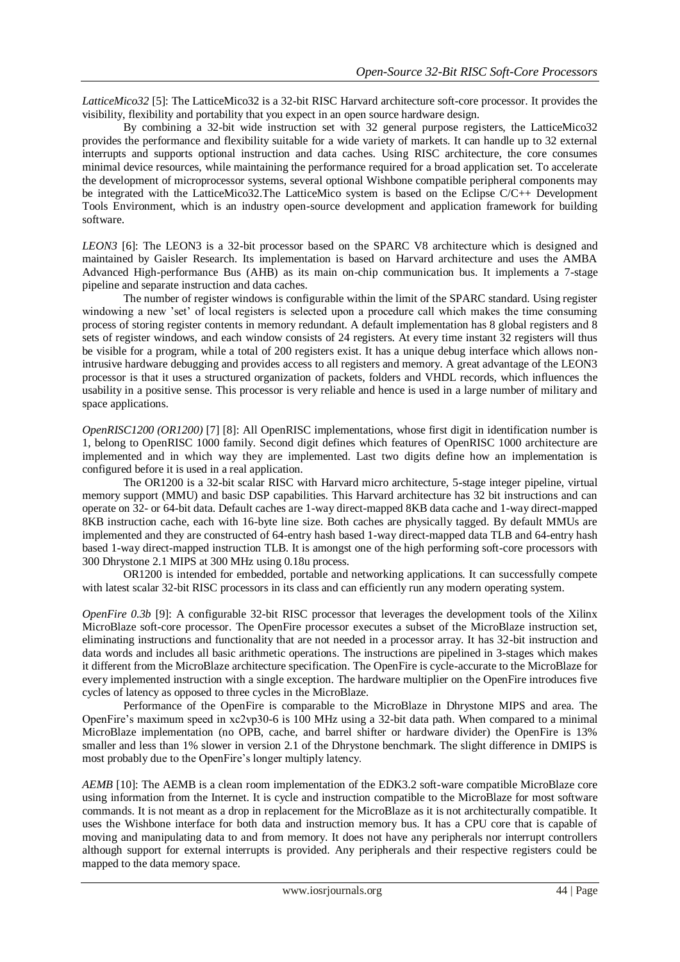*LatticeMico32* [5]: The LatticeMico32 is a 32-bit RISC Harvard architecture soft-core processor. It provides the visibility, flexibility and portability that you expect in an open source hardware design.

By combining a 32-bit wide instruction set with 32 general purpose registers, the LatticeMico32 provides the performance and flexibility suitable for a wide variety of markets. It can handle up to 32 external interrupts and supports optional instruction and data caches. Using RISC architecture, the core consumes minimal device resources, while maintaining the performance required for a broad application set. To accelerate the development of microprocessor systems, several optional Wishbone compatible peripheral components may be integrated with the LatticeMico32.The LatticeMico system is based on the Eclipse C/C++ Development Tools Environment, which is an industry open-source development and application framework for building software.

*LEON3* [6]: The LEON3 is a 32-bit processor based on the SPARC V8 architecture which is designed and maintained by Gaisler Research. Its implementation is based on Harvard architecture and uses the AMBA Advanced High-performance Bus (AHB) as its main on-chip communication bus. It implements a 7-stage pipeline and separate instruction and data caches.

The number of register windows is configurable within the limit of the SPARC standard. Using register windowing a new 'set' of local registers is selected upon a procedure call which makes the time consuming process of storing register contents in memory redundant. A default implementation has 8 global registers and 8 sets of register windows, and each window consists of 24 registers. At every time instant 32 registers will thus be visible for a program, while a total of 200 registers exist. It has a unique debug interface which allows nonintrusive hardware debugging and provides access to all registers and memory. A great advantage of the LEON3 processor is that it uses a structured organization of packets, folders and VHDL records, which influences the usability in a positive sense. This processor is very reliable and hence is used in a large number of military and space applications.

*OpenRISC1200 (OR1200)* [7] [8]: All OpenRISC implementations, whose first digit in identification number is 1, belong to OpenRISC 1000 family. Second digit defines which features of OpenRISC 1000 architecture are implemented and in which way they are implemented. Last two digits define how an implementation is configured before it is used in a real application.

The OR1200 is a 32-bit scalar RISC with Harvard micro architecture, 5-stage integer pipeline, virtual memory support (MMU) and basic DSP capabilities. This Harvard architecture has 32 bit instructions and can operate on 32- or 64-bit data. Default caches are 1-way direct-mapped 8KB data cache and 1-way direct-mapped 8KB instruction cache, each with 16-byte line size. Both caches are physically tagged. By default MMUs are implemented and they are constructed of 64-entry hash based 1-way direct-mapped data TLB and 64-entry hash based 1-way direct-mapped instruction TLB. It is amongst one of the high performing soft-core processors with 300 Dhrystone 2.1 MIPS at 300 MHz using 0.18u process.

OR1200 is intended for embedded, portable and networking applications. It can successfully compete with latest scalar 32-bit RISC processors in its class and can efficiently run any modern operating system.

*OpenFire 0.3b* [9]: A configurable 32-bit RISC processor that leverages the development tools of the Xilinx MicroBlaze soft-core processor. The OpenFire processor executes a subset of the MicroBlaze instruction set, eliminating instructions and functionality that are not needed in a processor array. It has 32-bit instruction and data words and includes all basic arithmetic operations. The instructions are pipelined in 3-stages which makes it different from the MicroBlaze architecture specification. The OpenFire is cycle-accurate to the MicroBlaze for every implemented instruction with a single exception. The hardware multiplier on the OpenFire introduces five cycles of latency as opposed to three cycles in the MicroBlaze.

Performance of the OpenFire is comparable to the MicroBlaze in Dhrystone MIPS and area. The OpenFire's maximum speed in xc2vp30-6 is 100 MHz using a 32-bit data path. When compared to a minimal MicroBlaze implementation (no OPB, cache, and barrel shifter or hardware divider) the OpenFire is 13% smaller and less than 1% slower in version 2.1 of the Dhrystone benchmark. The slight difference in DMIPS is most probably due to the OpenFire's longer multiply latency.

*AEMB* [10]: The AEMB is a clean room implementation of the EDK3.2 soft-ware compatible MicroBlaze core using information from the Internet. It is cycle and instruction compatible to the MicroBlaze for most software commands. It is not meant as a drop in replacement for the MicroBlaze as it is not architecturally compatible. It uses the Wishbone interface for both data and instruction memory bus. It has a CPU core that is capable of moving and manipulating data to and from memory. It does not have any peripherals nor interrupt controllers although support for external interrupts is provided. Any peripherals and their respective registers could be mapped to the data memory space.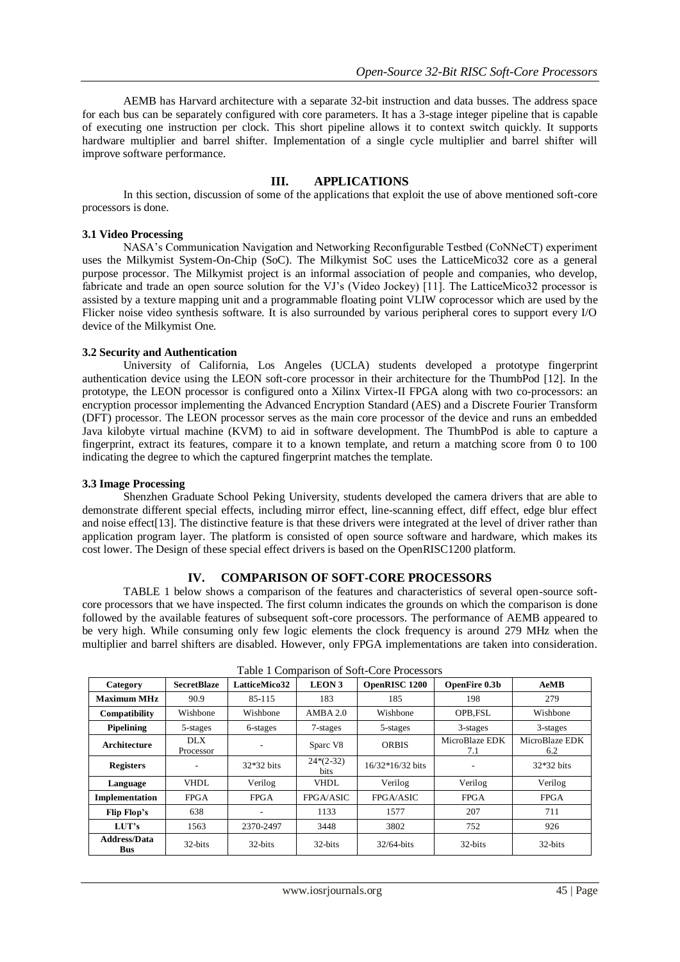AEMB has Harvard architecture with a separate 32-bit instruction and data busses. The address space for each bus can be separately configured with core parameters. It has a 3-stage integer pipeline that is capable of executing one instruction per clock. This short pipeline allows it to context switch quickly. It supports hardware multiplier and barrel shifter. Implementation of a single cycle multiplier and barrel shifter will improve software performance.

# **III. APPLICATIONS**

In this section, discussion of some of the applications that exploit the use of above mentioned soft-core processors is done.

#### **3.1 Video Processing**

NASA's Communication Navigation and Networking Reconfigurable Testbed (CoNNeCT) experiment uses the Milkymist System-On-Chip (SoC). The Milkymist SoC uses the LatticeMico32 core as a general purpose processor. The Milkymist project is an informal association of people and companies, who develop, fabricate and trade an open source solution for the VJ's (Video Jockey) [11]. The LatticeMico32 processor is assisted by a texture mapping unit and a programmable floating point VLIW coprocessor which are used by the Flicker noise video synthesis software. It is also surrounded by various peripheral cores to support every I/O device of the Milkymist One.

#### **3.2 Security and Authentication**

University of California, Los Angeles (UCLA) students developed a prototype fingerprint authentication device using the LEON soft-core processor in their architecture for the ThumbPod [12]. In the prototype, the LEON processor is configured onto a Xilinx Virtex-II FPGA along with two co-processors: an encryption processor implementing the Advanced Encryption Standard (AES) and a Discrete Fourier Transform (DFT) processor. The LEON processor serves as the main core processor of the device and runs an embedded Java kilobyte virtual machine (KVM) to aid in software development. The ThumbPod is able to capture a fingerprint, extract its features, compare it to a known template, and return a matching score from 0 to 100 indicating the degree to which the captured fingerprint matches the template.

#### **3.3 Image Processing**

Shenzhen Graduate School Peking University, students developed the camera drivers that are able to demonstrate different special effects, including mirror effect, line-scanning effect, diff effect, edge blur effect and noise effect<sup>[13]</sup>. The distinctive feature is that these drivers were integrated at the level of driver rather than application program layer. The platform is consisted of open source software and hardware, which makes its cost lower. The Design of these special effect drivers is based on the OpenRISC1200 platform.

#### **IV. COMPARISON OF SOFT-CORE PROCESSORS**

TABLE 1 below shows a comparison of the features and characteristics of several open-source softcore processors that we have inspected. The first column indicates the grounds on which the comparison is done followed by the available features of subsequent soft-core processors. The performance of AEMB appeared to be very high. While consuming only few logic elements the clock frequency is around 279 MHz when the multiplier and barrel shifters are disabled. However, only FPGA implementations are taken into consideration.

| raone i companioni oi bone core rrocessors |                         |               |                     |                    |                       |                       |
|--------------------------------------------|-------------------------|---------------|---------------------|--------------------|-----------------------|-----------------------|
| Category                                   | <b>SecretBlaze</b>      | LatticeMico32 | <b>LEON 3</b>       | OpenRISC 1200      | OpenFire 0.3b         | AeMB                  |
| <b>Maximum MHz</b>                         | 90.9                    | 85-115        | 183                 | 185                | 198                   | 279                   |
| Compatibility                              | Wishbone                | Wishbone      | AMBA 2.0            | Wishbone           | OPB, FSL              | Wishbone              |
| <b>Pipelining</b>                          | 5-stages                | 6-stages      | 7-stages            | 5-stages           | 3-stages              | 3-stages              |
| Architecture                               | <b>DLX</b><br>Processor |               | Sparc V8            | <b>ORBIS</b>       | MicroBlaze EDK<br>7.1 | MicroBlaze EDK<br>6.2 |
| <b>Registers</b>                           |                         | $32*32$ bits  | $24*(2-32)$<br>bits | $16/32*16/32$ bits |                       | 32*32 bits            |
| Language                                   | VHDL                    | Verilog       | <b>VHDL</b>         | Verilog            | Verilog               | Verilog               |
| Implementation                             | <b>FPGA</b>             | <b>FPGA</b>   | FPGA/ASIC           | FPGA/ASIC          | <b>FPGA</b>           | <b>FPGA</b>           |
| Flip Flop's                                | 638                     |               | 1133                | 1577               | 207                   | 711                   |
| LUT's                                      | 1563                    | 2370-2497     | 3448                | 3802               | 752                   | 926                   |
| <b>Address/Data</b><br><b>Bus</b>          | 32-bits                 | 32-bits       | 32-bits             | $32/64$ -bits      | 32-bits               | 32-bits               |